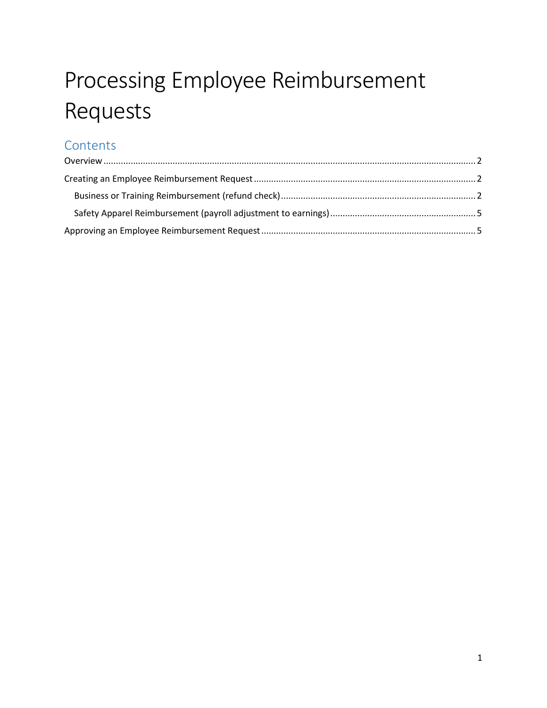# Processing Employee Reimbursement Requests

## **Contents**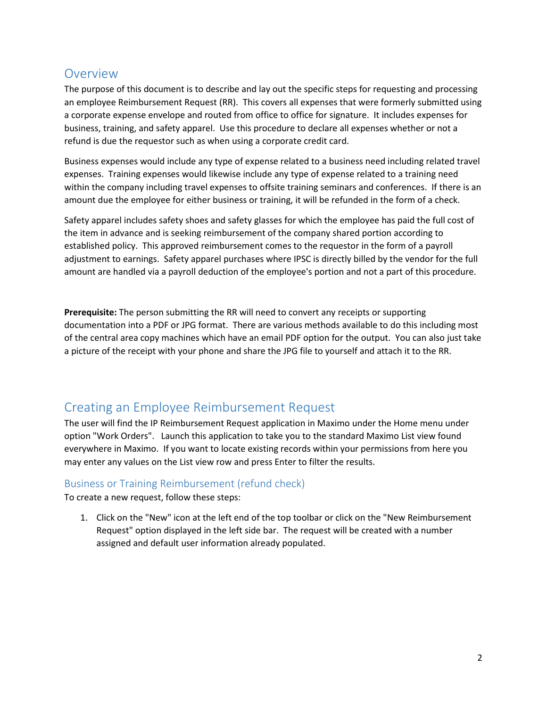### <span id="page-1-0"></span>**Overview**

The purpose of this document is to describe and lay out the specific steps for requesting and processing an employee Reimbursement Request (RR). This covers all expenses that were formerly submitted using a corporate expense envelope and routed from office to office for signature. It includes expenses for business, training, and safety apparel. Use this procedure to declare all expenses whether or not a refund is due the requestor such as when using a corporate credit card.

Business expenses would include any type of expense related to a business need including related travel expenses. Training expenses would likewise include any type of expense related to a training need within the company including travel expenses to offsite training seminars and conferences. If there is an amount due the employee for either business or training, it will be refunded in the form of a check.

Safety apparel includes safety shoes and safety glasses for which the employee has paid the full cost of the item in advance and is seeking reimbursement of the company shared portion according to established policy. This approved reimbursement comes to the requestor in the form of a payroll adjustment to earnings. Safety apparel purchases where IPSC is directly billed by the vendor for the full amount are handled via a payroll deduction of the employee's portion and not a part of this procedure.

**Prerequisite:** The person submitting the RR will need to convert any receipts or supporting documentation into a PDF or JPG format. There are various methods available to do this including most of the central area copy machines which have an email PDF option for the output. You can also just take a picture of the receipt with your phone and share the JPG file to yourself and attach it to the RR.

## <span id="page-1-1"></span>Creating an Employee Reimbursement Request

The user will find the IP Reimbursement Request application in Maximo under the Home menu under option "Work Orders". Launch this application to take you to the standard Maximo List view found everywhere in Maximo. If you want to locate existing records within your permissions from here you may enter any values on the List view row and press Enter to filter the results.

#### <span id="page-1-2"></span>Business or Training Reimbursement (refund check)

To create a new request, follow these steps:

1. Click on the "New" icon at the left end of the top toolbar or click on the "New Reimbursement Request" option displayed in the left side bar. The request will be created with a number assigned and default user information already populated.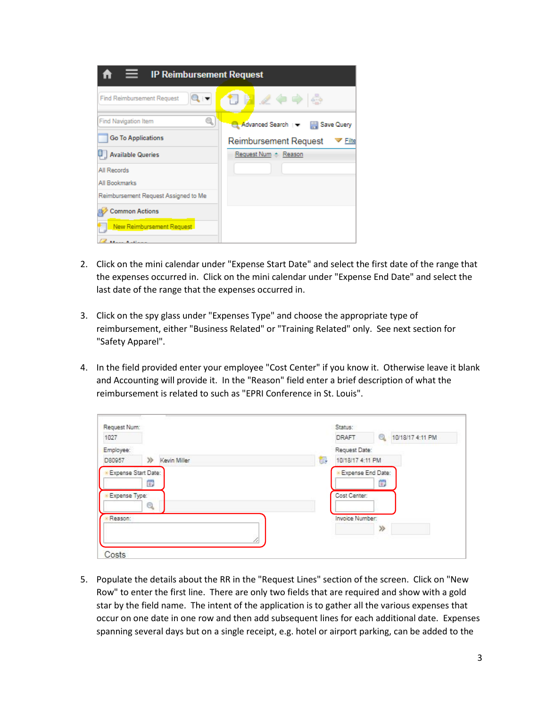| <b>IP Reimbursement Request</b>      |                                  |  |  |  |  |  |  |
|--------------------------------------|----------------------------------|--|--|--|--|--|--|
| <b>Find Reimbursement Request</b>    | 10日 ノヤウド                         |  |  |  |  |  |  |
| <b>Find Navigation Item</b><br>q     | Advanced Search : May Save Query |  |  |  |  |  |  |
| <b>Go To Applications</b>            | Reimbursement Request<br>Filte   |  |  |  |  |  |  |
| Available Queries                    | Request Num + Reason             |  |  |  |  |  |  |
| All Records                          |                                  |  |  |  |  |  |  |
| All Bookmarks                        |                                  |  |  |  |  |  |  |
| Reimbursement Request Assigned to Me |                                  |  |  |  |  |  |  |
| <b>Common Actions</b>                |                                  |  |  |  |  |  |  |
| New Reimbursement Request            |                                  |  |  |  |  |  |  |
| <b>March Andieus</b>                 |                                  |  |  |  |  |  |  |

- 2. Click on the mini calendar under "Expense Start Date" and select the first date of the range that the expenses occurred in. Click on the mini calendar under "Expense End Date" and select the last date of the range that the expenses occurred in.
- 3. Click on the spy glass under "Expenses Type" and choose the appropriate type of reimbursement, either "Business Related" or "Training Related" only. See next section for "Safety Apparel".
- 4. In the field provided enter your employee "Cost Center" if you know it. Otherwise leave it blank and Accounting will provide it. In the "Reason" field enter a brief description of what the reimbursement is related to such as "EPRI Conference in St. Louis".

| Request Num:        |                       |   | Status:           |                       |
|---------------------|-----------------------|---|-------------------|-----------------------|
| 1027                |                       |   | <b>DRAFT</b>      | Q<br>10/18/17 4:11 PM |
| Employee:           |                       |   | Request Date:     |                       |
| D80957              | $\gg$<br>Kevin Miller | 图 | 10/18/17 4:11 PM  |                       |
| Expense Start Date: | 饡                     |   | Expense End Date: | 简                     |
| Expense Type:       |                       |   | Cost Center:      |                       |
|                     | Q                     |   |                   |                       |
| Reason:             |                       |   | Invoice Number:   |                       |
|                     | 18                    |   |                   | ≫                     |
| Costs               |                       |   |                   |                       |

5. Populate the details about the RR in the "Request Lines" section of the screen. Click on "New Row" to enter the first line. There are only two fields that are required and show with a gold star by the field name. The intent of the application is to gather all the various expenses that occur on one date in one row and then add subsequent lines for each additional date. Expenses spanning several days but on a single receipt, e.g. hotel or airport parking, can be added to the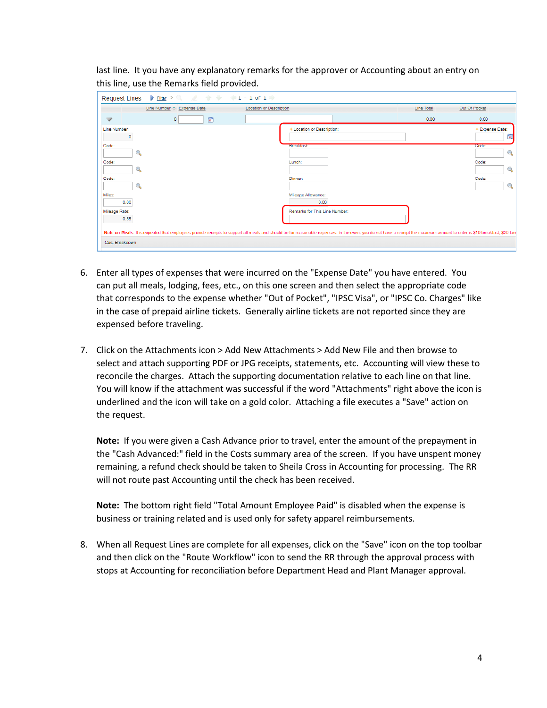last line. It you have any explanatory remarks for the approver or Accounting about an entry on this line, use the Remarks field provided.

| $\frac{1}{2}$ Filter > Q, $\frac{1}{2}$ + $\frac{1}{2}$ + $\frac{1}{2}$ + 1 - 1 of 1<br><b>Request Lines</b> |                                                                                                                                                                                                                           |                               |
|--------------------------------------------------------------------------------------------------------------|---------------------------------------------------------------------------------------------------------------------------------------------------------------------------------------------------------------------------|-------------------------------|
| Line Number + Expense Date<br>Location or Description                                                        | Line Total<br>Out Of Pocket                                                                                                                                                                                               |                               |
| 鶯<br>$\overline{\mathscr{S}}$<br>$^{\circ}$                                                                  | 0.00                                                                                                                                                                                                                      | 0.00                          |
| Line Number:<br>o                                                                                            | * Location or Description:                                                                                                                                                                                                | Expense Date:<br>$\mathbf{p}$ |
| Code:<br>Q                                                                                                   | <b>Eferiarist</b>                                                                                                                                                                                                         | Code:<br>Q                    |
| Code:<br>Q                                                                                                   | Lunch:                                                                                                                                                                                                                    | Code:<br>$\mathbb{Q}$         |
| Code:<br>Q                                                                                                   | Dinner:                                                                                                                                                                                                                   | Code:<br>$\circledcirc$       |
| Miles:<br>0.00                                                                                               | Mileage Allowance:<br>0.00                                                                                                                                                                                                |                               |
| Mileage Rate:<br>0.55                                                                                        | Remarks for This Line Number:                                                                                                                                                                                             |                               |
| Cost Breakdown                                                                                               | Note on Meals: It is expected that employees provide receipts to support all meals and should be for reasonable expenses. In the event you do not have a receipt the maximum amount to enter is \$10 breakfast, \$20 luni |                               |

- 6. Enter all types of expenses that were incurred on the "Expense Date" you have entered. You can put all meals, lodging, fees, etc., on this one screen and then select the appropriate code that corresponds to the expense whether "Out of Pocket", "IPSC Visa", or "IPSC Co. Charges" like in the case of prepaid airline tickets. Generally airline tickets are not reported since they are expensed before traveling.
- 7. Click on the Attachments icon > Add New Attachments > Add New File and then browse to select and attach supporting PDF or JPG receipts, statements, etc. Accounting will view these to reconcile the charges. Attach the supporting documentation relative to each line on that line. You will know if the attachment was successful if the word "Attachments" right above the icon is underlined and the icon will take on a gold color. Attaching a file executes a "Save" action on the request.

**Note:** If you were given a Cash Advance prior to travel, enter the amount of the prepayment in the "Cash Advanced:" field in the Costs summary area of the screen. If you have unspent money remaining, a refund check should be taken to Sheila Cross in Accounting for processing. The RR will not route past Accounting until the check has been received.

**Note:** The bottom right field "Total Amount Employee Paid" is disabled when the expense is business or training related and is used only for safety apparel reimbursements.

8. When all Request Lines are complete for all expenses, click on the "Save" icon on the top toolbar and then click on the "Route Workflow" icon to send the RR through the approval process with stops at Accounting for reconciliation before Department Head and Plant Manager approval.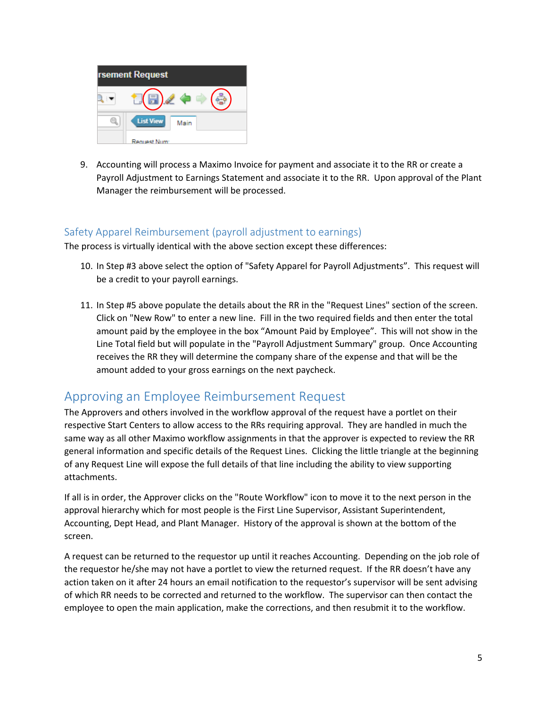

9. Accounting will process a Maximo Invoice for payment and associate it to the RR or create a Payroll Adjustment to Earnings Statement and associate it to the RR. Upon approval of the Plant Manager the reimbursement will be processed.

#### <span id="page-4-0"></span>Safety Apparel Reimbursement (payroll adjustment to earnings)

The process is virtually identical with the above section except these differences:

- 10. In Step #3 above select the option of "Safety Apparel for Payroll Adjustments". This request will be a credit to your payroll earnings.
- 11. In Step #5 above populate the details about the RR in the "Request Lines" section of the screen. Click on "New Row" to enter a new line. Fill in the two required fields and then enter the total amount paid by the employee in the box "Amount Paid by Employee". This will not show in the Line Total field but will populate in the "Payroll Adjustment Summary" group. Once Accounting receives the RR they will determine the company share of the expense and that will be the amount added to your gross earnings on the next paycheck.

#### <span id="page-4-1"></span>Approving an Employee Reimbursement Request

The Approvers and others involved in the workflow approval of the request have a portlet on their respective Start Centers to allow access to the RRs requiring approval. They are handled in much the same way as all other Maximo workflow assignments in that the approver is expected to review the RR general information and specific details of the Request Lines. Clicking the little triangle at the beginning of any Request Line will expose the full details of that line including the ability to view supporting attachments.

If all is in order, the Approver clicks on the "Route Workflow" icon to move it to the next person in the approval hierarchy which for most people is the First Line Supervisor, Assistant Superintendent, Accounting, Dept Head, and Plant Manager. History of the approval is shown at the bottom of the screen.

A request can be returned to the requestor up until it reaches Accounting. Depending on the job role of the requestor he/she may not have a portlet to view the returned request. If the RR doesn't have any action taken on it after 24 hours an email notification to the requestor's supervisor will be sent advising of which RR needs to be corrected and returned to the workflow. The supervisor can then contact the employee to open the main application, make the corrections, and then resubmit it to the workflow.